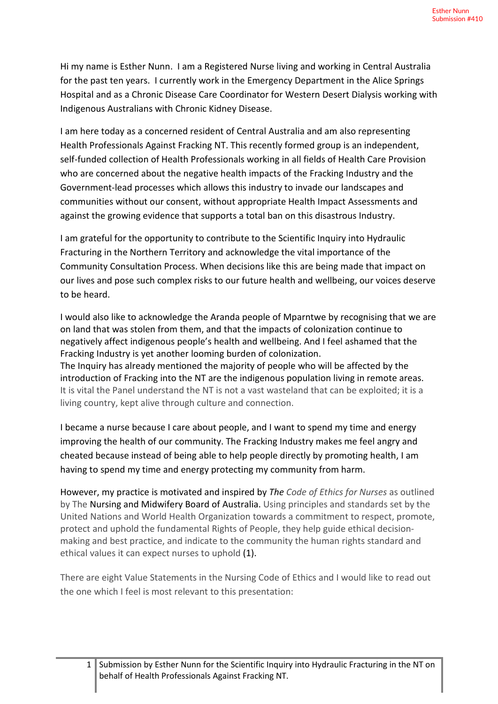Hi my name is Esther Nunn. I am a Registered Nurse living and working in Central Australia for the past ten years. I currently work in the Emergency Department in the Alice Springs Hospital and as a Chronic Disease Care Coordinator for Western Desert Dialysis working with Indigenous Australians with Chronic Kidney Disease.

I am here today as a concerned resident of Central Australia and am also representing Health Professionals Against Fracking NT. This recently formed group is an independent, self-funded collection of Health Professionals working in all fields of Health Care Provision who are concerned about the negative health impacts of the Fracking Industry and the Government-lead processes which allows this industry to invade our landscapes and communities without our consent, without appropriate Health Impact Assessments and against the growing evidence that supports a total ban on this disastrous Industry.

I am grateful for the opportunity to contribute to the Scientific Inquiry into Hydraulic Fracturing in the Northern Territory and acknowledge the vital importance of the Community Consultation Process. When decisions like this are being made that impact on our lives and pose such complex risks to our future health and wellbeing, our voices deserve to be heard.

I would also like to acknowledge the Aranda people of Mparntwe by recognising that we are on land that was stolen from them, and that the impacts of colonization continue to negatively affect indigenous people's health and wellbeing. And I feel ashamed that the Fracking Industry is yet another looming burden of colonization. The Inquiry has already mentioned the majority of people who will be affected by the introduction of Fracking into the NT are the indigenous population living in remote areas. It is vital the Panel understand the NT is not a vast wasteland that can be exploited; it is a living country, kept alive through culture and connection.

I became a nurse because I care about people, and I want to spend my time and energy improving the health of our community. The Fracking Industry makes me feel angry and cheated because instead of being able to help people directly by promoting health, I am having to spend my time and energy protecting my community from harm.

However, my practice is motivated and inspired by *The Code of Ethics for Nurses* as outlined by The Nursing and Midwifery Board of Australia. Using principles and standards set by the United Nations and World Health Organization towards a commitment to respect, promote, protect and uphold the fundamental Rights of People, they help guide ethical decisionmaking and best practice, and indicate to the community the human rights standard and ethical values it can expect nurses to uphold (1).

There are eight Value Statements in the Nursing Code of Ethics and I would like to read out the one which I feel is most relevant to this presentation: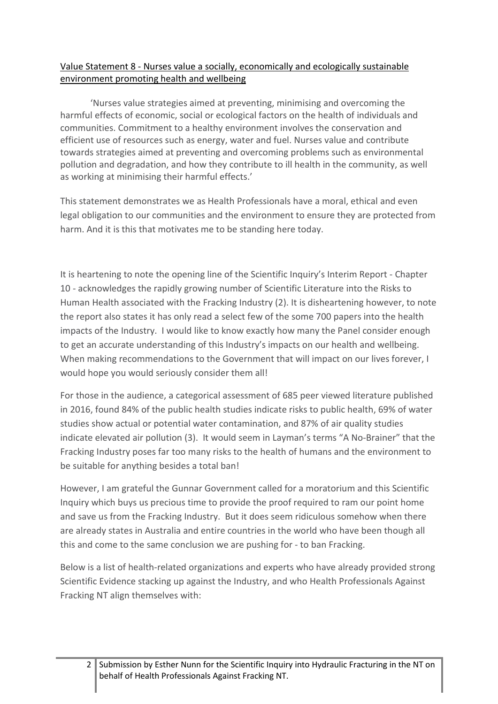#### Value Statement 8 - Nurses value a socially, economically and ecologically sustainable environment promoting health and wellbeing

'Nurses value strategies aimed at preventing, minimising and overcoming the harmful effects of economic, social or ecological factors on the health of individuals and communities. Commitment to a healthy environment involves the conservation and efficient use of resources such as energy, water and fuel. Nurses value and contribute towards strategies aimed at preventing and overcoming problems such as environmental pollution and degradation, and how they contribute to ill health in the community, as well as working at minimising their harmful effects.'

This statement demonstrates we as Health Professionals have a moral, ethical and even legal obligation to our communities and the environment to ensure they are protected from harm. And it is this that motivates me to be standing here today.

It is heartening to note the opening line of the Scientific Inquiry's Interim Report - Chapter 10 - acknowledges the rapidly growing number of Scientific Literature into the Risks to Human Health associated with the Fracking Industry (2). It is disheartening however, to note the report also states it has only read a select few of the some 700 papers into the health impacts of the Industry. I would like to know exactly how many the Panel consider enough to get an accurate understanding of this Industry's impacts on our health and wellbeing. When making recommendations to the Government that will impact on our lives forever, I would hope you would seriously consider them all!

For those in the audience, a categorical assessment of 685 peer viewed literature published in 2016, found 84% of the public health studies indicate risks to public health, 69% of water studies show actual or potential water contamination, and 87% of air quality studies indicate elevated air pollution (3). It would seem in Layman's terms "A No-Brainer" that the Fracking Industry poses far too many risks to the health of humans and the environment to be suitable for anything besides a total ban!

However, I am grateful the Gunnar Government called for a moratorium and this Scientific Inquiry which buys us precious time to provide the proof required to ram our point home and save us from the Fracking Industry. But it does seem ridiculous somehow when there are already states in Australia and entire countries in the world who have been though all this and come to the same conclusion we are pushing for - to ban Fracking.

Below is a list of health-related organizations and experts who have already provided strong Scientific Evidence stacking up against the Industry, and who Health Professionals Against Fracking NT align themselves with: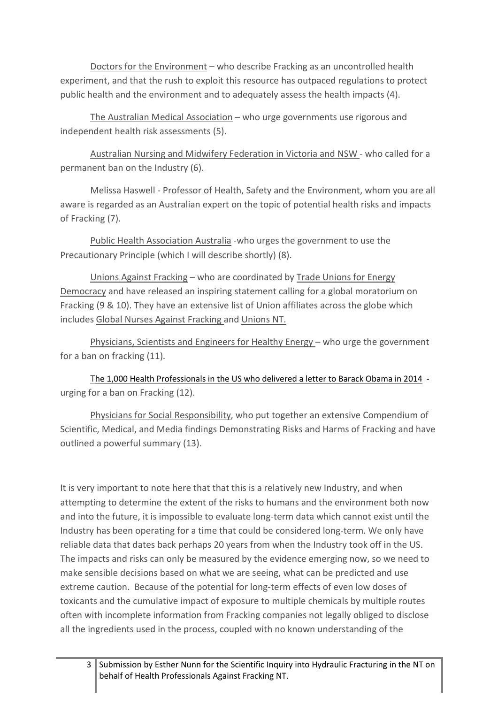Doctors for the Environment – who describe Fracking as an uncontrolled health experiment, and that the rush to exploit this resource has outpaced regulations to protect public health and the environment and to adequately assess the health impacts (4).

The Australian Medical Association – who urge governments use rigorous and independent health risk assessments (5).

Australian Nursing and Midwifery Federation in Victoria and NSW - who called for a permanent ban on the Industry (6).

Melissa Haswell - Professor of Health, Safety and the Environment, whom you are all aware is regarded as an Australian expert on the topic of potential health risks and impacts of Fracking (7).

Public Health Association Australia -who urges the government to use the Precautionary Principle (which I will describe shortly) (8).

Unions Against Fracking – who are coordinated by Trade Unions for Energy Democracy and have released an inspiring statement calling for a global moratorium on Fracking (9 & 10). They have an extensive list of Union affiliates across the globe which includes Global Nurses Against Fracking and Unions NT.

Physicians, Scientists and Engineers for Healthy Energy – who urge the government for a ban on fracking  $(11)$ .

The 1,000 Health Professionals in the US who delivered a letter to Barack Obama in 2014 urging for a ban on Fracking (12).

Physicians for Social Responsibility, who put together an extensive Compendium of Scientific, Medical, and Media findings Demonstrating Risks and Harms of Fracking and have outlined a powerful summary (13).

It is very important to note here that that this is a relatively new Industry, and when attempting to determine the extent of the risks to humans and the environment both now and into the future, it is impossible to evaluate long-term data which cannot exist until the Industry has been operating for a time that could be considered long-term. We only have reliable data that dates back perhaps 20 years from when the Industry took off in the US. The impacts and risks can only be measured by the evidence emerging now, so we need to make sensible decisions based on what we are seeing, what can be predicted and use extreme caution. Because of the potential for long-term effects of even low doses of toxicants and the cumulative impact of exposure to multiple chemicals by multiple routes often with incomplete information from Fracking companies not legally obliged to disclose all the ingredients used in the process, coupled with no known understanding of the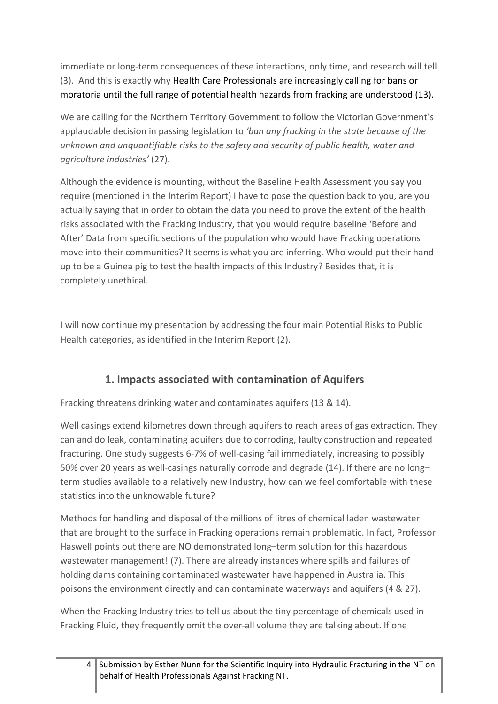immediate or long-term consequences of these interactions, only time, and research will tell (3). And this is exactly why Health Care Professionals are increasingly calling for bans or moratoria until the full range of potential health hazards from fracking are understood (13).

We are calling for the Northern Territory Government to follow the Victorian Government's applaudable decision in passing legislation to *'ban any fracking in the state because of the unknown and unquantifiable risks to the safety and security of public health, water and agriculture industries'* (27).

Although the evidence is mounting, without the Baseline Health Assessment you say you require (mentioned in the Interim Report) I have to pose the question back to you, are you actually saying that in order to obtain the data you need to prove the extent of the health risks associated with the Fracking Industry, that you would require baseline 'Before and After' Data from specific sections of the population who would have Fracking operations move into their communities? It seems is what you are inferring. Who would put their hand up to be a Guinea pig to test the health impacts of this Industry? Besides that, it is completely unethical.

I will now continue my presentation by addressing the four main Potential Risks to Public Health categories, as identified in the Interim Report (2).

# **1. Impacts associated with contamination of Aquifers**

Fracking threatens drinking water and contaminates aquifers (13 & 14).

Well casings extend kilometres down through aquifers to reach areas of gas extraction. They can and do leak, contaminating aquifers due to corroding, faulty construction and repeated fracturing. One study suggests 6-7% of well-casing fail immediately, increasing to possibly 50% over 20 years as well-casings naturally corrode and degrade (14). If there are no long– term studies available to a relatively new Industry, how can we feel comfortable with these statistics into the unknowable future?

Methods for handling and disposal of the millions of litres of chemical laden wastewater that are brought to the surface in Fracking operations remain problematic. In fact, Professor Haswell points out there are NO demonstrated long–term solution for this hazardous wastewater management! (7). There are already instances where spills and failures of holding dams containing contaminated wastewater have happened in Australia. This poisons the environment directly and can contaminate waterways and aquifers (4 & 27).

When the Fracking Industry tries to tell us about the tiny percentage of chemicals used in Fracking Fluid, they frequently omit the over-all volume they are talking about. If one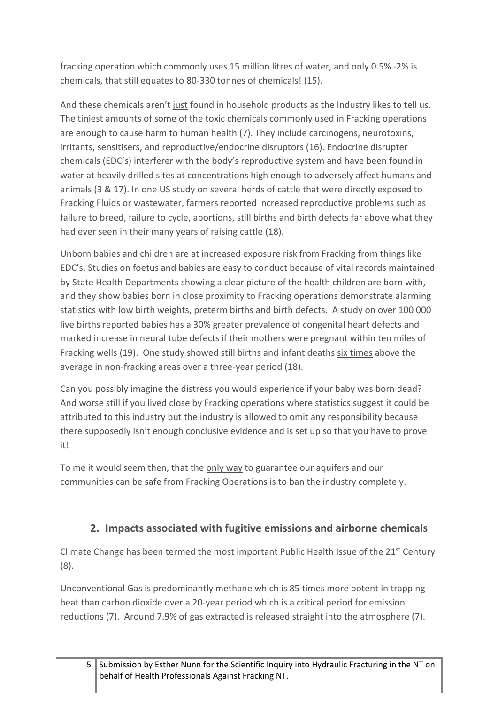fracking operation which commonly uses 15 million litres of water, and only 0.5% -2% is chemicals, that still equates to 80-330 tonnes of chemicals! (15).

And these chemicals aren't just found in household products as the Industry likes to tell us. The tiniest amounts of some of the toxic chemicals commonly used in Fracking operations are enough to cause harm to human health (7). They include carcinogens, neurotoxins, irritants, sensitisers, and reproductive/endocrine disruptors (16). Endocrine disrupter chemicals (EDC's) interferer with the body's reproductive system and have been found in water at heavily drilled sites at concentrations high enough to adversely affect humans and animals (3 & 17). In one US study on several herds of cattle that were directly exposed to Fracking Fluids or wastewater, farmers reported increased reproductive problems such as failure to breed, failure to cycle, abortions, still births and birth defects far above what they had ever seen in their many years of raising cattle (18).

Unborn babies and children are at increased exposure risk from Fracking from things like EDC's. Studies on foetus and babies are easy to conduct because of vital records maintained by State Health Departments showing a clear picture of the health children are born with, and they show babies born in close proximity to Fracking operations demonstrate alarming statistics with low birth weights, preterm births and birth defects. A study on over 100 000 live births reported babies has a 30% greater prevalence of congenital heart defects and marked increase in neural tube defects if their mothers were pregnant within ten miles of Fracking wells (19). One study showed still births and infant deaths six times above the average in non-fracking areas over a three-year period (18).

Can you possibly imagine the distress you would experience if your baby was born dead? And worse still if you lived close by Fracking operations where statistics suggest it could be attributed to this industry but the industry is allowed to omit any responsibility because there supposedly isn't enough conclusive evidence and is set up so that you have to prove it!

To me it would seem then, that the only way to guarantee our aquifers and our communities can be safe from Fracking Operations is to ban the industry completely.

## **2. Impacts associated with fugitive emissions and airborne chemicals**

Climate Change has been termed the most important Public Health Issue of the 21<sup>st</sup> Century (8).

Unconventional Gas is predominantly methane which is 85 times more potent in trapping heat than carbon dioxide over a 20-year period which is a critical period for emission reductions (7). Around 7.9% of gas extracted is released straight into the atmosphere (7).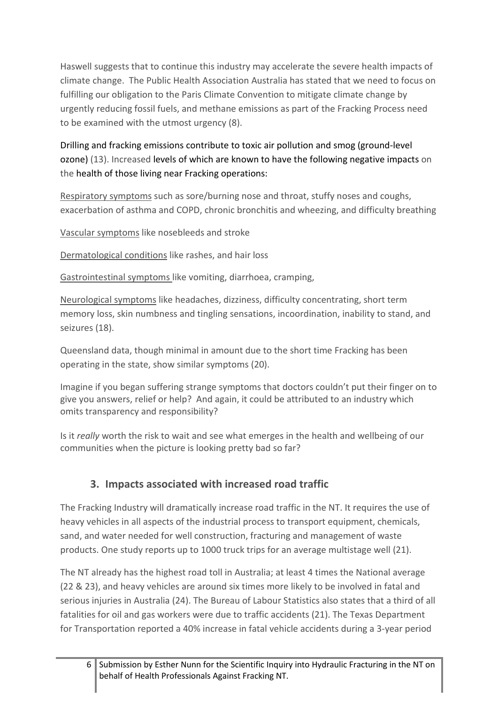Haswell suggests that to continue this industry may accelerate the severe health impacts of climate change. The Public Health Association Australia has stated that we need to focus on fulfilling our obligation to the Paris Climate Convention to mitigate climate change by urgently reducing fossil fuels, and methane emissions as part of the Fracking Process need to be examined with the utmost urgency (8).

Drilling and fracking emissions contribute to toxic air pollution and smog (ground-level ozone) (13). Increased levels of which are known to have the following negative impacts on the health of those living near Fracking operations:

Respiratory symptoms such as sore/burning nose and throat, stuffy noses and coughs, exacerbation of asthma and COPD, chronic bronchitis and wheezing, and difficulty breathing

Vascular symptoms like nosebleeds and stroke

Dermatological conditions like rashes, and hair loss

Gastrointestinal symptoms like vomiting, diarrhoea, cramping,

Neurological symptoms like headaches, dizziness, difficulty concentrating, short term memory loss, skin numbness and tingling sensations, incoordination, inability to stand, and seizures (18).

Queensland data, though minimal in amount due to the short time Fracking has been operating in the state, show similar symptoms (20).

Imagine if you began suffering strange symptoms that doctors couldn't put their finger on to give you answers, relief or help? And again, it could be attributed to an industry which omits transparency and responsibility?

Is it *really* worth the risk to wait and see what emerges in the health and wellbeing of our communities when the picture is looking pretty bad so far?

### **3. Impacts associated with increased road traffic**

The Fracking Industry will dramatically increase road traffic in the NT. It requires the use of heavy vehicles in all aspects of the industrial process to transport equipment, chemicals, sand, and water needed for well construction, fracturing and management of waste products. One study reports up to 1000 truck trips for an average multistage well (21).

The NT already has the highest road toll in Australia; at least 4 times the National average (22 & 23), and heavy vehicles are around six times more likely to be involved in fatal and serious injuries in Australia (24). The Bureau of Labour Statistics also states that a third of all fatalities for oil and gas workers were due to traffic accidents (21). The Texas Department for Transportation reported a 40% increase in fatal vehicle accidents during a 3-year period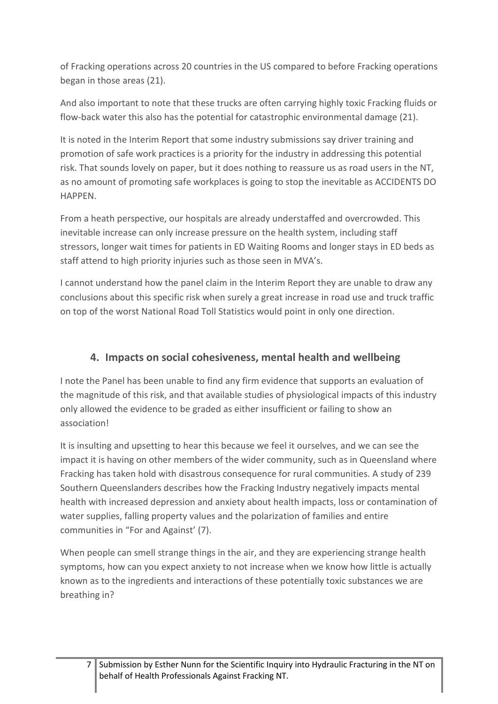of Fracking operations across 20 countries in the US compared to before Fracking operations began in those areas (21).

And also important to note that these trucks are often carrying highly toxic Fracking fluids or flow-back water this also has the potential for catastrophic environmental damage (21).

It is noted in the Interim Report that some industry submissions say driver training and promotion of safe work practices is a priority for the industry in addressing this potential risk. That sounds lovely on paper, but it does nothing to reassure us as road users in the NT, as no amount of promoting safe workplaces is going to stop the inevitable as ACCIDENTS DO HAPPEN.

From a heath perspective, our hospitals are already understaffed and overcrowded. This inevitable increase can only increase pressure on the health system, including staff stressors, longer wait times for patients in ED Waiting Rooms and longer stays in ED beds as staff attend to high priority injuries such as those seen in MVA's.

I cannot understand how the panel claim in the Interim Report they are unable to draw any conclusions about this specific risk when surely a great increase in road use and truck traffic on top of the worst National Road Toll Statistics would point in only one direction.

## **4. Impacts on social cohesiveness, mental health and wellbeing**

I note the Panel has been unable to find any firm evidence that supports an evaluation of the magnitude of this risk, and that available studies of physiological impacts of this industry only allowed the evidence to be graded as either insufficient or failing to show an association!

It is insulting and upsetting to hear this because we feel it ourselves, and we can see the impact it is having on other members of the wider community, such as in Queensland where Fracking has taken hold with disastrous consequence for rural communities. A study of 239 Southern Queenslanders describes how the Fracking Industry negatively impacts mental health with increased depression and anxiety about health impacts, loss or contamination of water supplies, falling property values and the polarization of families and entire communities in "For and Against' (7).

When people can smell strange things in the air, and they are experiencing strange health symptoms, how can you expect anxiety to not increase when we know how little is actually known as to the ingredients and interactions of these potentially toxic substances we are breathing in?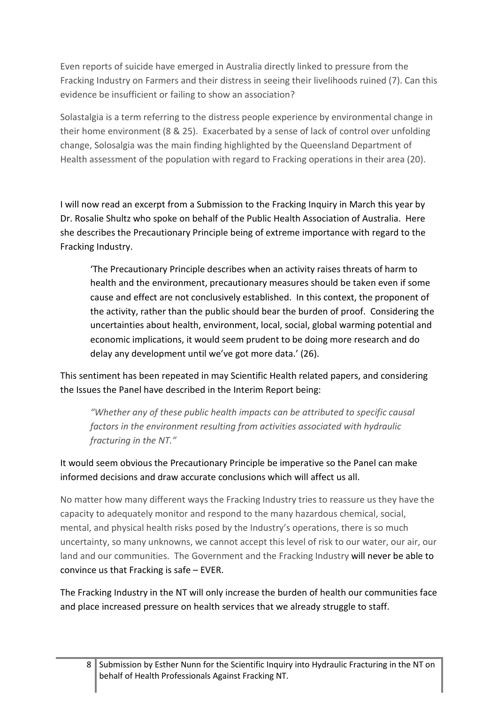Even reports of suicide have emerged in Australia directly linked to pressure from the Fracking Industry on Farmers and their distress in seeing their livelihoods ruined (7). Can this evidence be insufficient or failing to show an association?

Solastalgia is a term referring to the distress people experience by environmental change in their home environment (8 & 25). Exacerbated by a sense of lack of control over unfolding change, Solosalgia was the main finding highlighted by the Queensland Department of Health assessment of the population with regard to Fracking operations in their area (20).

I will now read an excerpt from a Submission to the Fracking Inquiry in March this year by Dr. Rosalie Shultz who spoke on behalf of the Public Health Association of Australia. Here she describes the Precautionary Principle being of extreme importance with regard to the Fracking Industry.

'The Precautionary Principle describes when an activity raises threats of harm to health and the environment, precautionary measures should be taken even if some cause and effect are not conclusively established. In this context, the proponent of the activity, rather than the public should bear the burden of proof. Considering the uncertainties about health, environment, local, social, global warming potential and economic implications, it would seem prudent to be doing more research and do delay any development until we've got more data.' (26).

This sentiment has been repeated in may Scientific Health related papers, and considering the Issues the Panel have described in the Interim Report being:

*"Whether any of these public health impacts can be attributed to specific causal factors in the environment resulting from activities associated with hydraulic fracturing in the NT."* 

### It would seem obvious the Precautionary Principle be imperative so the Panel can make informed decisions and draw accurate conclusions which will affect us all.

No matter how many different ways the Fracking Industry tries to reassure us they have the capacity to adequately monitor and respond to the many hazardous chemical, social, mental, and physical health risks posed by the Industry's operations, there is so much uncertainty, so many unknowns, we cannot accept this level of risk to our water, our air, our land and our communities. The Government and the Fracking Industry will never be able to convince us that Fracking is safe – EVER.

The Fracking Industry in the NT will only increase the burden of health our communities face and place increased pressure on health services that we already struggle to staff.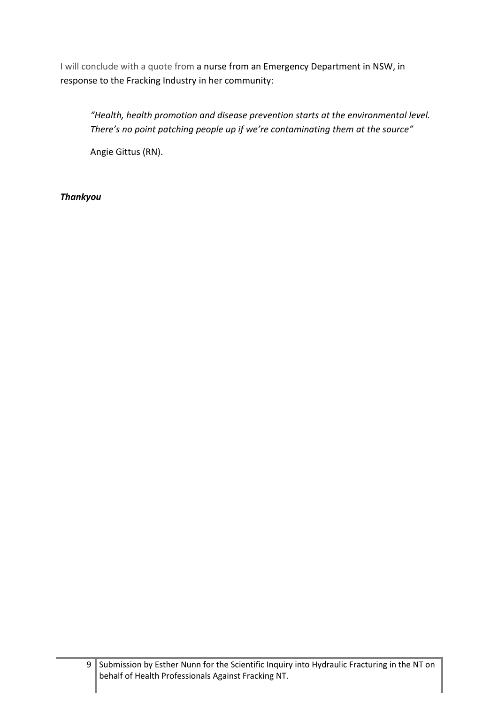I will conclude with a quote from a nurse from an Emergency Department in NSW, in response to the Fracking Industry in her community:

*"Health, health promotion and disease prevention starts at the environmental level. There's no point patching people up if we're contaminating them at the source"*

Angie Gittus (RN).

#### *Thankyou*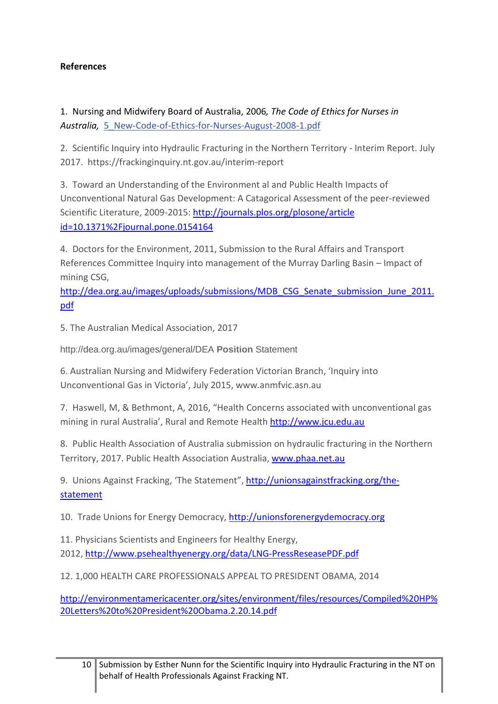#### **References**

1. Nursing and Midwifery Board of Australia, 2006*, The Code of Ethics for Nurses in Australia,* [5\\_New-Code-of-Ethics-for-Nurses-August-2008-1.pdf](https://lookaside.fbsbx.com/file/5_New-Code-of-Ethics-for-Nurses-August-2008-1.pdf?token=AWxmq6RZMSYH0kxK8ceSq2IQU7d-mKD_FBFGpOQsO0G-wbuoxVzVDC4PVaEPQMy0ylwtW4B6kifvJ9txknvleHVFo5Di0ODak3UG-Yf7Bx2R_rnhKfoCFgYZR5FvvngAcOVmdnfG96IOvlp3YQ2A76mbJS7C5LnNOh2YXYMcKdeBRwsT70QBOc64FfBcqxHVBT5dTpDv9oTr4e8a5uPWzg8R)

2. Scientific Inquiry into Hydraulic Fracturing in the Northern Territory - Interim Report. July 2017. https://frackinginquiry.nt.gov.au/interim-report

3. Toward an Understanding of the Environment al and Public Health Impacts of Unconventional Natural Gas Development: A Catagorical Assessment of the peer-reviewed Scientific Literature, 2009-2015:<http://journals.plos.org/plosone/article> [id=10.1371%2Fjournal.pone.0154164](http://journals.plos.org/plosone/article?id=10.1371%2Fjournal.pone.0154164)

4. Doctors for the Environment, 2011, Submission to the Rural Affairs and Transport References Committee Inquiry into management of the Murray Darling Basin – Impact of mining CSG,

[http://dea.org.au/images/uploads/submissions/MDB\\_CSG\\_Senate\\_submission\\_June\\_2011.](http://dea.org.au/images/uploads/submissions/MDB_CSG_Senate_submission_June_2011.pdf) [pdf](http://dea.org.au/images/uploads/submissions/MDB_CSG_Senate_submission_June_2011.pdf)

5. The Australian Medical Association, 2017

http://dea.org.au/images/general/DEA **Position** Statement

6. Australian Nursing and Midwifery Federation Victorian Branch, 'Inquiry into Unconventional Gas in Victoria', July 2015, www.anmfvic.asn.au

7. Haswell, M, & Bethmont, A, 2016, "Health Concerns associated with unconventional gas mining in rural Australia', Rural and Remote Health [http://www.jcu.edu.au](http://www.jcu.edu.au/)

8. Public Health Association of Australia submission on hydraulic fracturing in the Northern Territory, 2017. Public Health Association Australia, [www.phaa.net.au](http://www.phaa.net.au/)

9. Unions Against Fracking, 'The Statement", [http://unionsagainstfracking.org/the](http://unionsagainstfracking.org/the-statement)[statement](http://unionsagainstfracking.org/the-statement)

10. Trade Unions for Energy Democracy, [http://unionsforenergydemocracy.org](http://unionsforenergydemocracy.org/the-statement)

11. Physicians Scientists and Engineers for Healthy Energy, 2012,<http://www.psehealthyenergy.org/data/LNG-PressReseasePDF.pdf>

12. 1,000 HEALTH CARE PROFESSIONALS APPEAL TO PRESIDENT OBAMA, 2014

[http://environmentamericacenter.org/sites/environment/files/resources/Compiled%20HP%](http://environmentamericacenter.org/sites/environment/files/resources/Compiled%20HP%20Letters%20to%20President%20Obama.2.20.14.pdf) [20Letters%20to%20President%20Obama.2.20.14.pdf](http://environmentamericacenter.org/sites/environment/files/resources/Compiled%20HP%20Letters%20to%20President%20Obama.2.20.14.pdf)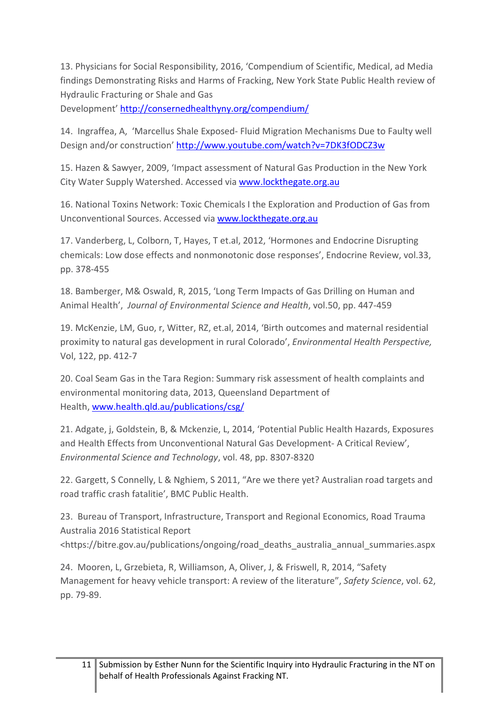13. Physicians for Social Responsibility, 2016, 'Compendium of Scientific, Medical, ad Media findings Demonstrating Risks and Harms of Fracking, New York State Public Health review of Hydraulic Fracturing or Shale and Gas

Development[' http://consernedhealthyny.org/compendium/](http://consernedhealthyny.org/compendium/)

14. Ingraffea, A, 'Marcellus Shale Exposed- Fluid Migration Mechanisms Due to Faulty well Design and/or construction'<http://www.youtube.com/watch?v=7DK3fODCZ3w>

15. Hazen & Sawyer, 2009, 'Impact assessment of Natural Gas Production in the New York City Water Supply Watershed. Accessed vi[a www.lockthegate.org.au](http://www.lockthegate.org.au/)

16. National Toxins Network: Toxic Chemicals I the Exploration and Production of Gas from Unconventional Sources. Accessed via [www.lockthegate.org.au](http://www.lockthegate.org.au/)

17. Vanderberg, L, Colborn, T, Hayes, T et.al, 2012, 'Hormones and Endocrine Disrupting chemicals: Low dose effects and nonmonotonic dose responses', Endocrine Review, vol.33, pp. 378-455

18. Bamberger, M& Oswald, R, 2015, 'Long Term Impacts of Gas Drilling on Human and Animal Health', *Journal of Environmental Science and Health*, vol.50, pp. 447-459

19. McKenzie, LM, Guo, r, Witter, RZ, et.al, 2014, 'Birth outcomes and maternal residential proximity to natural gas development in rural Colorado', *Environmental Health Perspective,* Vol, 122, pp. 412-7

20. Coal Seam Gas in the Tara Region: Summary risk assessment of health complaints and environmental monitoring data, 2013, Queensland Department of Health, [www.health.qld.au/publications/csg/](http://www.health.qld.au/publications/csg/)

21. Adgate, j, Goldstein, B, & Mckenzie, L, 2014, 'Potential Public Health Hazards, Exposures and Health Effects from Unconventional Natural Gas Development- A Critical Review', *Environmental Science and Technology*, vol. 48, pp. 8307-8320

22. Gargett, S Connelly, L & Nghiem, S 2011, "Are we there yet? Australian road targets and road traffic crash fatalitie', BMC Public Health.

23. Bureau of Transport, Infrastructure, Transport and Regional Economics, Road Trauma Australia 2016 Statistical Report <https://bitre.gov.au/publications/ongoing/road\_deaths\_australia\_annual\_summaries.aspx

24. Mooren, L, Grzebieta, R, Williamson, A, Oliver, J, & Friswell, R, 2014, "Safety Management for heavy vehicle transport: A review of the literature", *Safety Science*, vol. 62, pp. 79-89.